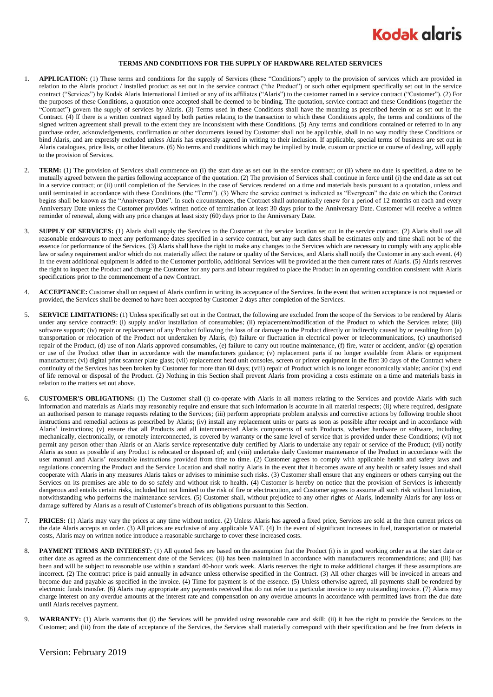

## **TERMS AND CONDITIONS FOR THE SUPPLY OF HARDWARE RELATED SERVICES**

- 1. **APPLICATION:** (1) These terms and conditions for the supply of Services (these "Conditions") apply to the provision of services which are provided in relation to the Alaris product / installed product as set out in the service contract ("the Product") or such other equipment specifically set out in the service contract ("Services") by Kodak Alaris International Limited or any of its affiliates ("Alaris") to the customer named in a service contract ("Customer"). (2) For the purposes of these Conditions, a quotation once accepted shall be deemed to be binding. The quotation, service contract and these Conditions (together the "Contract") govern the supply of services by Alaris. (3) Terms used in these Conditions shall have the meaning as prescribed herein or as set out in the Contract. (4) If there is a written contract signed by both parties relating to the transaction to which these Conditions apply, the terms and conditions of the signed written agreement shall prevail to the extent they are inconsistent with these Conditions. (5) Any terms and conditions contained or referred to in any purchase order, acknowledgements, confirmation or other documents issued by Customer shall not be applicable, shall in no way modify these Conditions or bind Alaris, and are expressly excluded unless Alaris has expressly agreed in writing to their inclusion. If applicable, special terms of business are set out in Alaris catalogues, price lists, or other literature. (6) No terms and conditions which may be implied by trade, custom or practice or course of dealing, will apply to the provision of Services.
- 2. **TERM:** (1) The provision of Services shall commence on (i) the start date as set out in the service contract; or (ii) where no date is specified, a date to be mutually agreed between the parties following acceptance of the quotation. (2) The provision of Services shall continue in force until (i) the end date as set out in a service contract; or (ii) until completion of the Services in the case of Services rendered on a time and materials basis pursuant to a quotation, unless and until terminated in accordance with these Conditions (the "Term"). (3) Where the service contract is indicated as "Evergreen" the date on which the Contract begins shall be known as the "Anniversary Date". In such circumstances, the Contract shall automatically renew for a period of 12 months on each and every Anniversary Date unless the Customer provides written notice of termination at least 30 days prior to the Anniversary Date. Customer will receive a written reminder of renewal, along with any price changes at least sixty (60) days prior to the Anniversary Date.
- 3. **SUPPLY OF SERVICES:** (1) Alaris shall supply the Services to the Customer at the service location set out in the service contract. (2) Alaris shall use all reasonable endeavours to meet any performance dates specified in a service contract, but any such dates shall be estimates only and time shall not be of the essence for performance of the Services. (3) Alaris shall have the right to make any changes to the Services which are necessary to comply with any applicable law or safety requirement and/or which do not materially affect the nature or quality of the Services, and Alaris shall notify the Customer in any such event. (4) In the event additional equipment is added to the Customer portfolio, additional Services will be provided at the then current rates of Alaris. (5) Alaris reserves the right to inspect the Product and charge the Customer for any parts and labour required to place the Product in an operating condition consistent with Alaris specifications prior to the commencement of a new Contract.
- 4. **ACCEPTANCE:** Customer shall on request of Alaris confirm in writing its acceptance of the Services. In the event that written acceptance is not requested or provided, the Services shall be deemed to have been accepted by Customer 2 days after completion of the Services.
- 5. **SERVICE LIMITATIONS:** (1) Unless specifically set out in the Contract, the following are excluded from the scope of the Services to be rendered by Alaris under any service contract9: (i) supply and/or installation of consumables; (ii) replacement/modification of the Product to which the Services relate; (iii) software support; (iv) repair or replacement of any Product following the loss of or damage to the Product directly or indirectly caused by or resulting from (a) transportation or relocation of the Product not undertaken by Alaris, (b) failure or fluctuation in electrical power or telecommunications, (c) unauthorised repair of the Product, (d) use of non Alaris approved consumables, (e) failure to carry out routine maintenance, (f) fire, water or accident, and/or (g) operation or use of the Product other than in accordance with the manufacturers guidance; (v) replacement parts if no longer available from Alaris or equipment manufacturer; (vi) digital print scanner plate glass; (vii) replacement head unit consoles, screen or printer equipment in the first 30 days of the Contract where continuity of the Services has been broken by Customer for more than 60 days; (viii) repair of Product which is no longer economically viable; and/or (ix) end of life removal or disposal of the Product. (2) Nothing in this Section shall prevent Alaris from providing a costs estimate on a time and materials basis in relation to the matters set out above.
- <span id="page-0-0"></span>6. **CUSTOMER'S OBLIGATIONS:** (1) The Customer shall (i) co-operate with Alaris in all matters relating to the Services and provide Alaris with such information and materials as Alaris may reasonably require and ensure that such information is accurate in all material respects; (ii) where required, designate an authorised person to manage requests relating to the Services; (iii) perform appropriate problem analysis and corrective actions by following trouble shoot instructions and remedial actions as prescribed by Alaris; (iv) install any replacement units or parts as soon as possible after receipt and in accordance with Alaris' instructions; (v) ensure that all Products and all interconnected Alaris components of such Products, whether hardware or software, including mechanically, electronically, or remotely interconnected, is covered by warranty or the same level of service that is provided under these Conditions; (vi) not permit any person other than Alaris or an Alaris service representative duly certified by Alaris to undertake any repair or service of the Product; (vii) notify Alaris as soon as possible if any Product is relocated or disposed of; and (viii) undertake daily Customer maintenance of the Product in accordance with the user manual and Alaris' reasonable instructions provided from time to time. (2) Customer agrees to comply with applicable health and safety laws and regulations concerning the Product and the Service Location and shall notify Alaris in the event that it becomes aware of any health or safety issues and shall cooperate with Alaris in any measures Alaris takes or advises to minimise such risks. (3) Customer shall ensure that any engineers or others carrying out the Services on its premises are able to do so safely and without risk to health**.** (4) Customer is hereby on notice that the provision of Services is inherently dangerous and entails certain risks, included but not limited to the risk of fire or electrocution, and Customer agrees to assume all such risk without limitation, notwithstanding who performs the maintenance services. (5) Customer shall, without prejudice to any other rights of Alaris, indemnify Alaris for any loss or damage suffered by Alaris as a result of Customer's breach of its obligations pursuant to this Section.
- 7. **PRICES:** (1) Alaris may vary the prices at any time without notice. (2) Unless Alaris has agreed a fixed price, Services are sold at the then current prices on the date Alaris accepts an order. (3) All prices are exclusive of any applicable VAT. (4) In the event of significant increases in fuel, transportation or material costs, Alaris may on written notice introduce a reasonable surcharge to cover these increased costs.
- 8. **PAYMENT TERMS AND INTEREST:** (1) All quoted fees are based on the assumption that the Product (i) is in good working order as at the start date or other date as agreed as the commencement date of the Services; (ii) has been maintained in accordance with manufacturers recommendations; and (iii) has been and will be subject to reasonable use within a standard 40-hour work week. Alaris reserves the right to make additional charges if these assumptions are incorrect. (2) The contract price is paid annually in advance unless otherwise specified in the Contract. (3) All other charges will be invoiced in arrears and become due and payable as specified in the invoice. (4) Time for payment is of the essence. (5) Unless otherwise agreed, all payments shall be rendered by electronic funds transfer. (6) Alaris may appropriate any payments received that do not refer to a particular invoice to any outstanding invoice. (7) Alaris may charge interest on any overdue amounts at the interest rate and compensation on any overdue amounts in accordance with permitted laws from the due date until Alaris receives payment.
- 9. **WARRANTY:** (1) Alaris warrants that (i) the Services will be provided using reasonable care and skill; (ii) it has the right to provide the Services to the Customer; and (iii) from the date of acceptance of the Services, the Services shall materially correspond with their specification and be free from defects in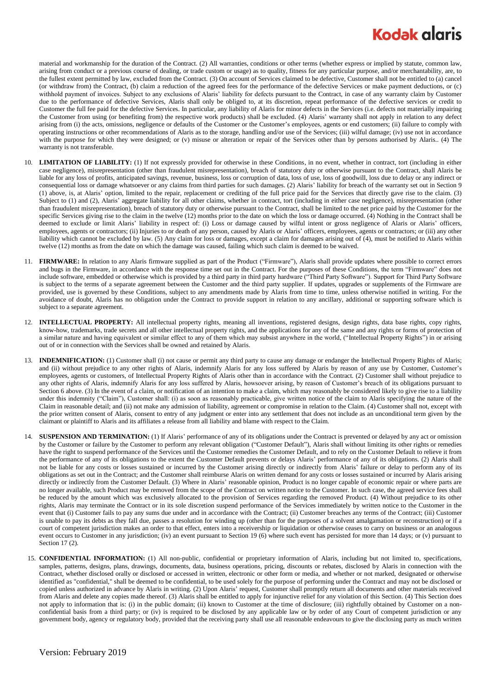## **Kodak glaris**

material and workmanship for the duration of the Contract. (2) All warranties, conditions or other terms (whether express or implied by statute, common law, arising from conduct or a previous course of dealing, or trade custom or usage) as to quality, fitness for any particular purpose, and/or merchantability, are, to the fullest extent permitted by law, excluded from the Contract. (3) On account of Services claimed to be defective, Customer shall not be entitled to (a) cancel (or withdraw from) the Contract, (b) claim a reduction of the agreed fees for the performance of the defective Services or make payment deductions, or (c) withhold payment of invoices. Subject to any exclusions of Alaris' liability for defects pursuant to the Contract, in case of any warranty claim by Customer due to the performance of defective Services, Alaris shall only be obliged to, at its discretion, repeat performance of the defective services or credit to Customer the full fee paid for the defective Services. In particular, any liability of Alaris for minor defects in the Services (i.e. defects not materially impairing the Customer from using (or benefiting from) the respective work products) shall be excluded. (4) Alaris' warranty shall not apply in relation to any defect arising from (i) the acts, omissions, negligence or defaults of the Customer or the Customer's employees, agents or end customers; (ii) failure to comply with operating instructions or other recommendations of Alaris as to the storage, handling and/or use of the Services; (iii) wilful damage; (iv) use not in accordance with the purpose for which they were designed; or (v) misuse or alteration or repair of the Services other than by persons authorised by Alaris.. (4) The warranty is not transferable.

- 10. **LIMITATION OF LIABILITY:** (1) If not expressly provided for otherwise in these Conditions, in no event, whether in contract, tort (including in either case negligence), misrepresentation (other than fraudulent misrepresentation), breach of statutory duty or otherwise pursuant to the Contract, shall Alaris be liable for any loss of profits, anticipated savings, revenue, business, loss or corruption of data, loss of use, loss of goodwill, loss due to delay or any indirect or consequential loss or damage whatsoever or any claims from third parties for such damages. (2) Alaris' liability for breach of the warranty set out in Section 9 (1) above, is, at Alaris' option, limited to the repair, replacement or crediting of the full price paid for the Services that directly gave rise to the claim. (3) Subject to (1) and (2), Alaris' aggregate liability for all other claims, whether in contract, tort (including in either case negligence), misrepresentation (other than fraudulent misrepresentation), breach of statutory duty or otherwise pursuant to the Contract, shall be limited to the net price paid by the Customer for the specific Services giving rise to the claim in the twelve (12) months prior to the date on which the loss or damage occurred. (4) Nothing in the Contract shall be deemed to exclude or limit Alaris' liability in respect of: (i) Loss or damage caused by wilful intent or gross negligence of Alaris or Alaris' officers, employees, agents or contractors; (ii) Injuries to or death of any person, caused by Alaris or Alaris' officers, employees, agents or contractors; or (iii) any other liability which cannot be excluded by law. (5) Any claim for loss or damages, except a claim for damages arising out of (4), must be notified to Alaris within twelve (12) months as from the date on which the damage was caused, failing which such claim is deemed to be waived.
- 11. **FIRMWARE:** In relation to any Alaris firmware supplied as part of the Product ("Firmware"), Alaris shall provide updates where possible to correct errors and bugs in the Firmware, in accordance with the response time set out in the Contract. For the purposes of these Conditions, the term "Firmware" does not include software, embedded or otherwise which is provided by a third party in third party hardware ("Third Party Software"). Support for Third Party Software is subject to the terms of a separate agreement between the Customer and the third party supplier. If updates, upgrades or supplements of the Firmware are provided, use is governed by these Conditions, subject to any amendments made by Alaris from time to time, unless otherwise notified in writing. For the avoidance of doubt, Alaris has no obligation under the Contract to provide support in relation to any ancillary, additional or supporting software which is subject to a separate agreement.
- 12. **INTELLECTUAL PROPERTY:** All intellectual property rights, meaning all inventions, registered designs, design rights, data base rights, copy rights, know-how, trademarks, trade secrets and all other intellectual property rights, and the applications for any of the same and any rights or forms of protection of a similar nature and having equivalent or similar effect to any of them which may subsist anywhere in the world, ("Intellectual Property Rights") in or arising out of or in connection with the Services shall be owned and retained by Alaris.
- 13. **INDEMNIFICATION:** (1) Customer shall (i) not cause or permit any third party to cause any damage or endanger the Intellectual Property Rights of Alaris; and (ii) without prejudice to any other rights of Alaris, indemnify Alaris for any loss suffered by Alaris by reason of any use by Customer, Customer's employees, agents or customers, of Intellectual Property Rights of Alaris other than in accordance with the Contract. (2) Customer shall without prejudice to any other rights of Alaris, indemnify Alaris for any loss suffered by Alaris, howsoever arising, by reason of Customer's breach of its obligations pursuant to Sectio[n 6](#page-0-0) above. (3) In the event of a claim, or notification of an intention to make a claim, which may reasonably be considered likely to give rise to a liability under this indemnity ("Claim"), Customer shall: (i) as soon as reasonably practicable, give written notice of the claim to Alaris specifying the nature of the Claim in reasonable detail; and (ii) not make any admission of liability, agreement or compromise in relation to the Claim. (4) Customer shall not, except with the prior written consent of Alaris, consent to entry of any judgment or enter into any settlement that does not include as an unconditional term given by the claimant or plaintiff to Alaris and its affiliates a release from all liability and blame with respect to the Claim.
- 14. **SUSPENSION AND TERMINATION:** (1) If Alaris' performance of any of its obligations under the Contract is prevented or delayed by any act or omission by the Customer or failure by the Customer to perform any relevant obligation ("Customer Default"), Alaris shall without limiting its other rights or remedies have the right to suspend performance of the Services until the Customer remedies the Customer Default, and to rely on the Customer Default to relieve it from the performance of any of its obligations to the extent the Customer Default prevents or delays Alaris' performance of any of its obligations. (2) Alaris shall not be liable for any costs or losses sustained or incurred by the Customer arising directly or indirectly from Alaris' failure or delay to perform any of its obligations as set out in the Contract; and the Customer shall reimburse Alaris on written demand for any costs or losses sustained or incurred by Alaris arising directly or indirectly from the Customer Default. (3) Where in Alaris' reasonable opinion, Product is no longer capable of economic repair or where parts are no longer available, such Product may be removed from the scope of the Contract on written notice to the Customer. In such case, the agreed service fees shall be reduced by the amount which was exclusively allocated to the provision of Services regarding the removed Product. (4) Without prejudice to its other rights, Alaris may terminate the Contract or in its sole discretion suspend performance of the Services immediately by written notice to the Customer in the event that (i) Customer fails to pay any sums due under and in accordance with the Contract; (ii) Customer breaches any terms of the Contract; (iii) Customer is unable to pay its debts as they fall due, passes a resolution for winding up (other than for the purposes of a solvent amalgamation or reconstruction) or if a court of competent jurisdiction makes an order to that effect, enters into a receivership or liquidation or otherwise ceases to carry on business or an analogous event occurs to Customer in any jurisdiction; (iv) an event pursuant to Section 19 (6) where such event has persisted for more than 14 days; or (v) pursuant to Sectio[n 17](#page-2-0) (2).
- 15. **CONFIDENTIAL INFORMATION:** (1) All non-public, confidential or proprietary information of Alaris, including but not limited to, specifications, samples, patterns, designs, plans, drawings, documents, data, business operations, pricing, discounts or rebates, disclosed by Alaris in connection with the Contract, whether disclosed orally or disclosed or accessed in written, electronic or other form or media, and whether or not marked, designated or otherwise identified as "confidential," shall be deemed to be confidential, to be used solely for the purpose of performing under the Contract and may not be disclosed or copied unless authorized in advance by Alaris in writing. (2) Upon Alaris' request, Customer shall promptly return all documents and other materials received from Alaris and delete any copies made thereof. (3) Alaris shall be entitled to apply for injunctive relief for any violation of this Section. (4) This Section does not apply to information that is: (i) in the public domain; (ii) known to Customer at the time of disclosure; (iii) rightfully obtained by Customer on a nonconfidential basis from a third party; or (iv) is required to be disclosed by any applicable law or by order of any Court of competent jurisdiction or any government body, agency or regulatory body, provided that the receiving party shall use all reasonable endeavours to give the disclosing party as much written